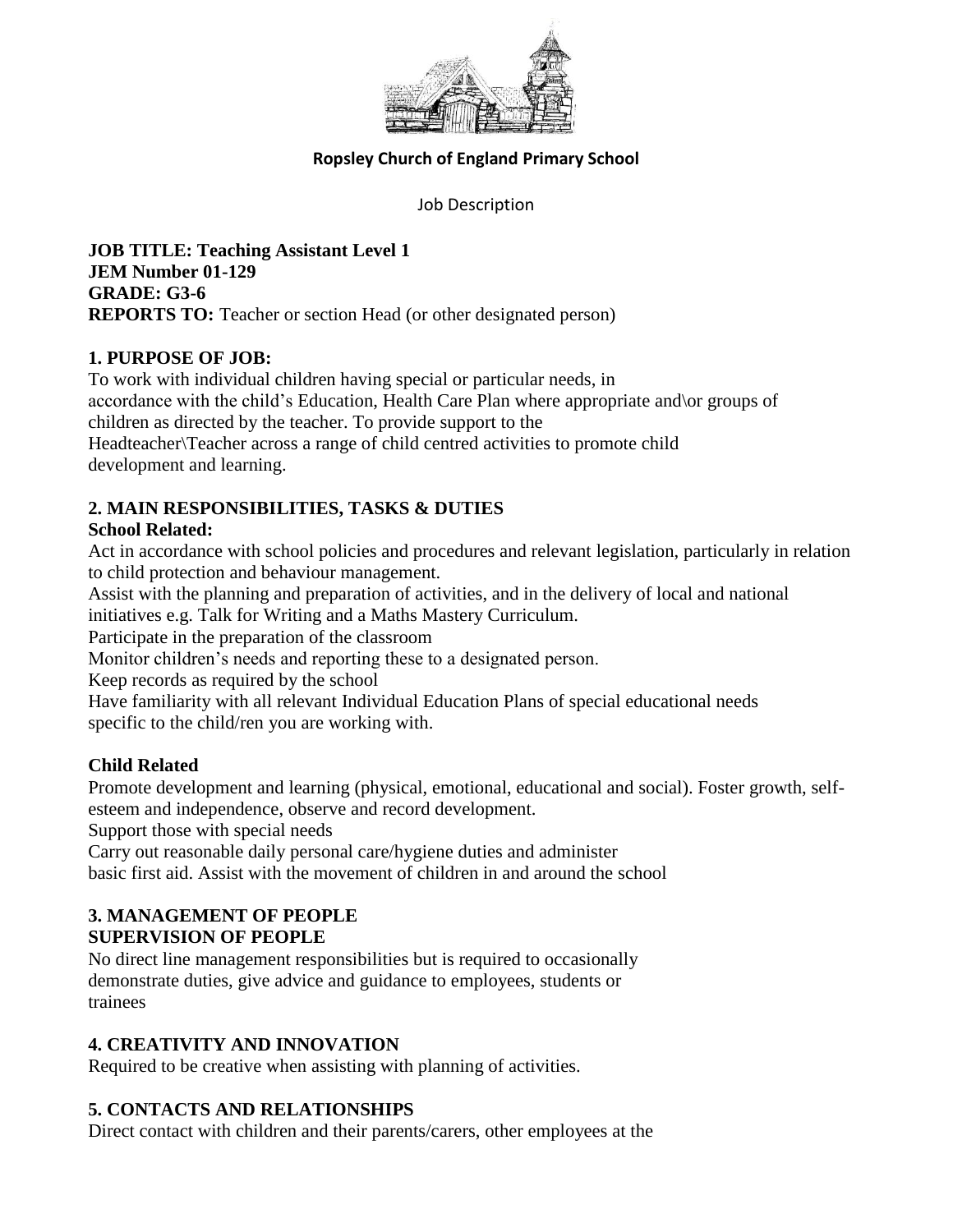

## **Ropsley Church of England Primary School**

Job Description

**JOB TITLE: Teaching Assistant Level 1 JEM Number 01-129 GRADE: G3-6 REPORTS TO:** Teacher or section Head (or other designated person)

## **1. PURPOSE OF JOB:**

To work with individual children having special or particular needs, in accordance with the child's Education, Health Care Plan where appropriate and\or groups of children as directed by the teacher. To provide support to the Headteacher\Teacher across a range of child centred activities to promote child development and learning.

# **2. MAIN RESPONSIBILITIES, TASKS & DUTIES**

# **School Related:**

Act in accordance with school policies and procedures and relevant legislation, particularly in relation to child protection and behaviour management.

Assist with the planning and preparation of activities, and in the delivery of local and national initiatives e.g. Talk for Writing and a Maths Mastery Curriculum.

Participate in the preparation of the classroom

Monitor children's needs and reporting these to a designated person.

Keep records as required by the school

Have familiarity with all relevant Individual Education Plans of special educational needs specific to the child/ren you are working with.

# **Child Related**

Promote development and learning (physical, emotional, educational and social). Foster growth, selfesteem and independence, observe and record development.

Support those with special needs

Carry out reasonable daily personal care/hygiene duties and administer basic first aid. Assist with the movement of children in and around the school

## **3. MANAGEMENT OF PEOPLE SUPERVISION OF PEOPLE**

No direct line management responsibilities but is required to occasionally demonstrate duties, give advice and guidance to employees, students or trainees

# **4. CREATIVITY AND INNOVATION**

Required to be creative when assisting with planning of activities.

# **5. CONTACTS AND RELATIONSHIPS**

Direct contact with children and their parents/carers, other employees at the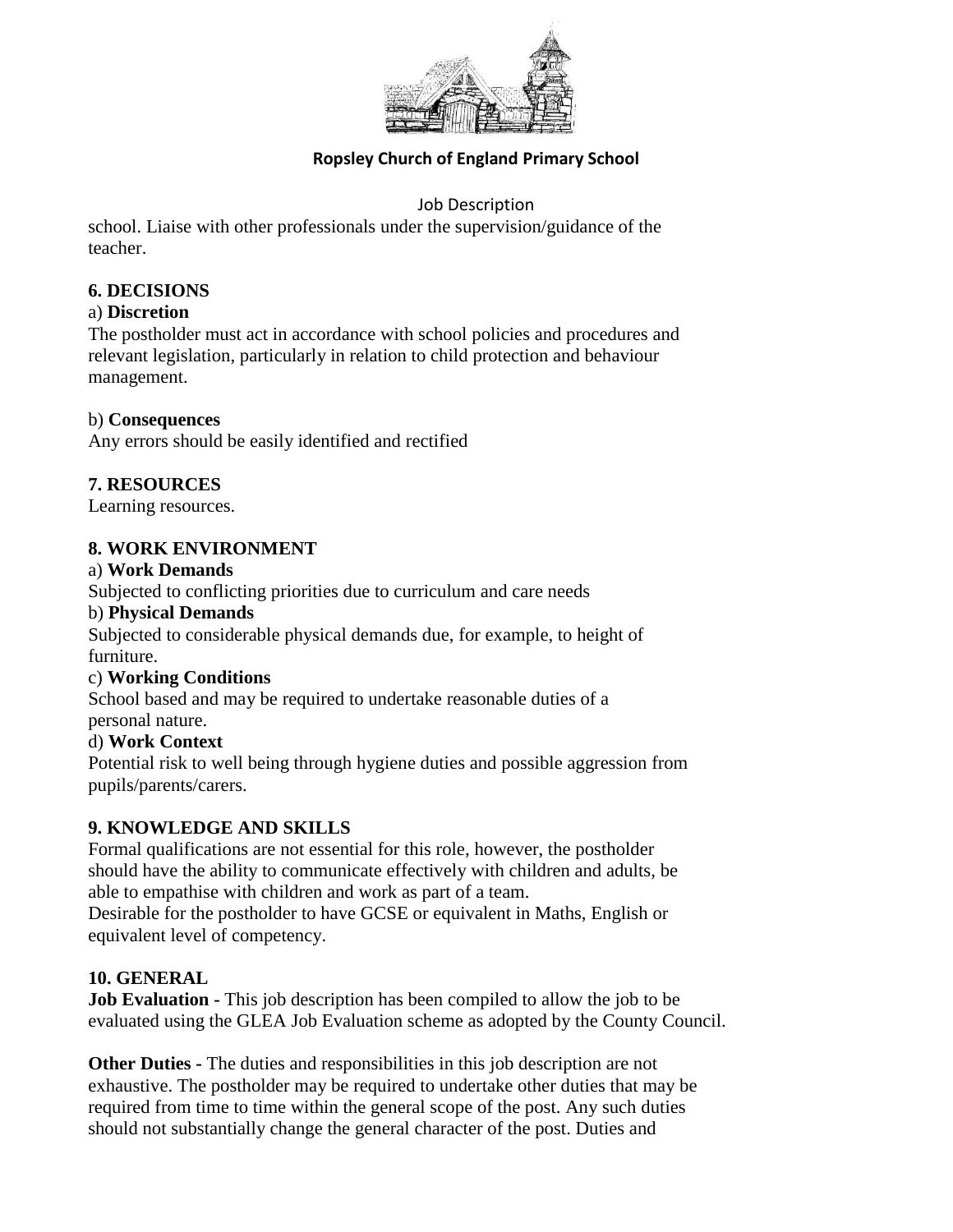

# **Ropsley Church of England Primary School**

## Job Description

school. Liaise with other professionals under the supervision/guidance of the teacher.

## **6. DECISIONS**

#### a) **Discretion**

The postholder must act in accordance with school policies and procedures and relevant legislation, particularly in relation to child protection and behaviour management.

#### b) **Consequences**

Any errors should be easily identified and rectified

## **7. RESOURCES**

Learning resources.

#### **8. WORK ENVIRONMENT**

#### a) **Work Demands**

Subjected to conflicting priorities due to curriculum and care needs

#### b) **Physical Demands**

Subjected to considerable physical demands due, for example, to height of furniture.

#### c) **Working Conditions**

School based and may be required to undertake reasonable duties of a personal nature.

# d) **Work Context**

Potential risk to well being through hygiene duties and possible aggression from pupils/parents/carers.

#### **9. KNOWLEDGE AND SKILLS**

Formal qualifications are not essential for this role, however, the postholder should have the ability to communicate effectively with children and adults, be able to empathise with children and work as part of a team. Desirable for the postholder to have GCSE or equivalent in Maths, English or equivalent level of competency.

#### **10. GENERAL**

**Job Evaluation -** This job description has been compiled to allow the job to be evaluated using the GLEA Job Evaluation scheme as adopted by the County Council.

**Other Duties -** The duties and responsibilities in this job description are not exhaustive. The postholder may be required to undertake other duties that may be required from time to time within the general scope of the post. Any such duties should not substantially change the general character of the post. Duties and